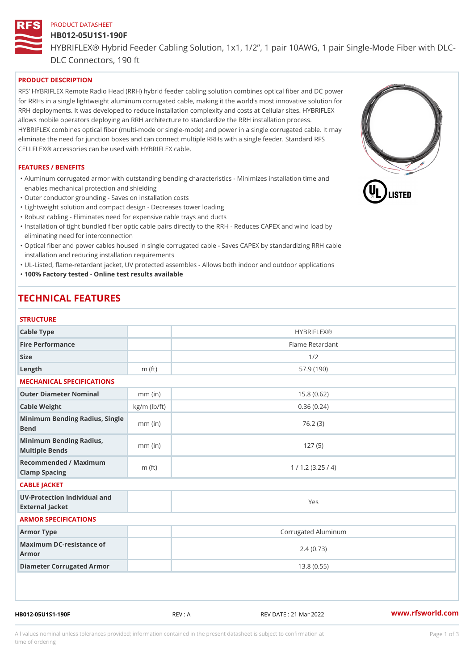# PRODUCT DATASHEET HB012-05U1S1-190F HYBRIFLEX® Hybrid Feeder Cabling Solution, 1x1, 1/2, 1 pair 10AWG, DLC Connectors, 190 ft

## PRODUCT DESCRIPTION

RFS HYBRIFLEX Remote Radio Head (RRH) hybrid feeder cabling solution combines optical fiber and for RRHs in a single lightweight aluminum corrugated cable, making it the world s most innovative s RRH deployments. It was developed to reduce installation complexity and costs at Cellular sites. HY allows mobile operators deploying an RRH architecture to standardize the RRH installation process. HYBRIFLEX combines optical fiber (multi-mode or single-mode) and power in a single corrugated cal eliminate the need for junction boxes and can connect multiple RRHs with a single feeder. Standard CELLFLEX® accessories can be used with HYBRIFLEX cable.

#### FEATURES / BENEFITS

"Aluminum corrugated armor with outstanding bending characteristics - Minimizes installation time a enables mechanical protection and shielding

- "Outer conductor grounding Saves on installation costs
- "Lightweight solution and compact design Decreases tower loading
- "Robust cabling Eliminates need for expensive cable trays and ducts
- "Installation of tight bundled fiber optic cable pairs directly to the RRH Reduces CAPEX and wind eliminating need for interconnection
- "Optical fiber and power cables housed in single corrugated cable Saves CAPEX by standardiz|ng installation and reducing installation requirements
- "UL-Listed, flame-retardant jacket, UV protected assembles Allows both indoor and outdoor applic "100% Factory tested - Online test results available

## TECHNICAL FEATURES

#### STRUCTURE

| <b>SIRUUIURE</b>                                  |                    |                     |  |  |  |
|---------------------------------------------------|--------------------|---------------------|--|--|--|
| Cable Type                                        |                    | <b>HYBRIFLEX®</b>   |  |  |  |
| Fire Performance                                  |                    | Flame Retardant     |  |  |  |
| Size                                              |                    | 1/2                 |  |  |  |
| $L$ ength                                         | m $(ft)$           | 57.9(190)           |  |  |  |
| MECHANICAL SPECIFICATIONS                         |                    |                     |  |  |  |
| Outer Diameter Nominal                            | $mm$ (in)          | 15.8(0.62)          |  |  |  |
| Cable Weight                                      | $kg/m$ ( $lb/ft$ ) | 0.36(0.24)          |  |  |  |
| Minimum Bending Radius, Single<br>Bend            |                    | 76.2(3)             |  |  |  |
| Minimum Bending Radius, mm (in)<br>Multiple Bends |                    | 127(5)              |  |  |  |
| Recommended / Maximum<br>Clamp Spacing            | $m$ (ft)           | 1 / 1.2 (3.25 / 4)  |  |  |  |
| CABLE JACKET                                      |                    |                     |  |  |  |
| UV-Protection Individual and<br>External Jacket   |                    | Yes                 |  |  |  |
| ARMOR SPECIFICATIONS                              |                    |                     |  |  |  |
| Armor Type                                        |                    | Corrugated Aluminum |  |  |  |
| Maximum DC-resistance of<br>Armor                 |                    | 2.4(0.73)           |  |  |  |
| Diameter Corrugated Armor                         |                    | 13.8(0.55)          |  |  |  |
|                                                   |                    |                     |  |  |  |

HB012-05U1S1-190F REV : A REV DATE : 21 Mar 2022 [www.](https://www.rfsworld.com)rfsworld.com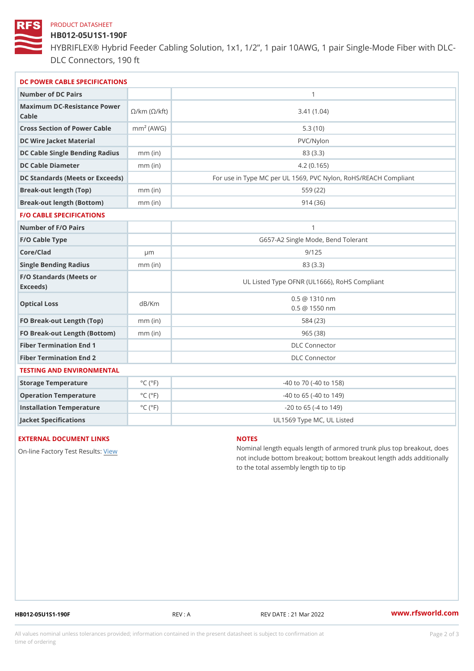#### PRODUCT DATASHEET

## HB012-05U1S1-190F

HYBRIFLEX® Hybrid Feeder Cabling Solution, 1x1, 1/2, 1 pair 10AWG, DLC Connectors, 190 ft

| DC POWER CABLE SPECIFICATIONS                                                                                                   |                             |                                                      |  |  |
|---------------------------------------------------------------------------------------------------------------------------------|-----------------------------|------------------------------------------------------|--|--|
| Number of DC Pairs                                                                                                              |                             | $\mathbf{1}$                                         |  |  |
| Maximum DC-Resistance $\bigotimes_{k=m}^{\infty}$ ( $\bigotimes_{k=m}^{\infty}$ /km ( $\bigotimes_{k=m}^{\infty}$ )<br>$C$ able |                             | 3.41(1.04)                                           |  |  |
| Cross Section of Power Cnamble (AWG)                                                                                            |                             | 5.3(10)                                              |  |  |
| DC Wire Jacket Material                                                                                                         |                             | $PVC/Ny$ lon                                         |  |  |
| DC Cable Single Bending Rhandi(uish)                                                                                            |                             | 83 (3.3)                                             |  |  |
| DC Cable Diameter                                                                                                               | $mm$ (in)                   | 4.2(0.165)                                           |  |  |
| DC Standards (Meets or Exceeds)                                                                                                 |                             | For use in Type MC per UL 1569, PVC Nylon, RoHS/REAC |  |  |
| Break-out length (Top)                                                                                                          | $mm$ (in)                   | 559 (22)                                             |  |  |
| Break-out length (Bottom) mm (in)                                                                                               |                             | 914(36)                                              |  |  |
| <b>F/O CABLE SPECIFICATIONS</b>                                                                                                 |                             |                                                      |  |  |
| Number of F/O Pairs                                                                                                             |                             | $\mathbf{1}$                                         |  |  |
| F/O Cable Type                                                                                                                  |                             | G657-A2 Single Mode, Bend Tolerant                   |  |  |
| Core/Clad                                                                                                                       | $\mu$ m                     | 9/125                                                |  |  |
| Single Bending Radius                                                                                                           | $mm$ (in)                   | 83 (3.3)                                             |  |  |
| F/O Standards (Meets or<br>Exceeds)                                                                                             |                             | UL Listed Type OFNR (UL1666), RoHS Compliant         |  |  |
| Optical Loss                                                                                                                    | dB/Km                       | $0.5 \t@ 1310 nm$<br>$0.5 \t@ 1550 nm$               |  |  |
| FO Break-out Length (Top)mm (in)                                                                                                |                             | 584 (23)                                             |  |  |
| FO Break-out Length (Bottomm) (in)                                                                                              |                             | 965(38)                                              |  |  |
| Fiber Termination End                                                                                                           |                             | DLC Connector                                        |  |  |
| Fiber Termination End 2                                                                                                         |                             | <b>DLC</b> Connector                                 |  |  |
| TESTING AND ENVIRONMENTAL                                                                                                       |                             |                                                      |  |  |
| Storage Temperature                                                                                                             | $^{\circ}$ C ( $^{\circ}$ F | $-40$ to $70$ ( $-40$ to $158$ )                     |  |  |
| Operation Temperature                                                                                                           | $^{\circ}$ C ( $^{\circ}$ F | $-40$ to $65$ ( $-40$ to $149$ )                     |  |  |
| Installation Temperature                                                                                                        | $^{\circ}$ C ( $^{\circ}$ F | $-20$ to 65 ( $-4$ to 149)                           |  |  |
| Jacket Specifications                                                                                                           |                             | UL1569 Type MC, UL Listed                            |  |  |

#### EXTERNAL DOCUMENT LINKS

On-line Factory Te[s](https://www.rfsworld.com/pictures/userfiles/programs/AAST Latest Version.zip)teRwesults:

#### NOTES

Nominal length equals length of armored trunk plus not include bottom breakout; bottom breakout length to the total assembly length tip to tip

HB012-05U1S1-190F REV : A REV DATE : 21 Mar 2022 [www.](https://www.rfsworld.com)rfsworld.com